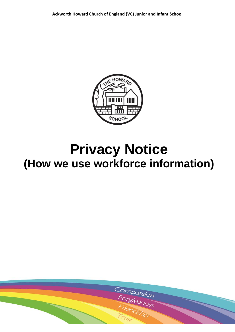

# **Privacy Notice (How we use workforce information)**

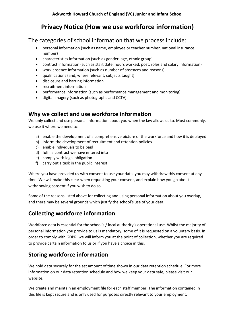# **Privacy Notice (How we use workforce information)**

#### The categories of school information that we process include:

- personal information (such as name, employee or teacher number, national insurance number)
- characteristics information (such as gender, age, ethnic group)
- contract information (such as start date, hours worked, post, roles and salary information)
- work absence information (such as number of absences and reasons)
- qualifications (and, where relevant, subjects taught)
- disclosure and barring information
- recruitment information
- performance information (such as performance management and monitoring)
- digital imagery (such as photographs and CCTV)

## **Why we collect and use workforce information**

We only collect and use personal information about you when the law allows us to. Most commonly, we use it where we need to:

- a) enable the development of a comprehensive picture of the workforce and how it is deployed
- b) inform the development of recruitment and retention policies
- c) enable individuals to be paid
- d) fulfil a contract we have entered into
- e) comply with legal obligation
- f) carry out a task in the public interest

Where you have provided us with consent to use your data, you may withdraw this consent at any time. We will make this clear when requesting your consent, and explain how you go about withdrawing consent if you wish to do so.

Some of the reasons listed above for collecting and using personal information about you overlap, and there may be several grounds which justify the school's use of your data.

# **Collecting workforce information**

Workforce data is essential for the school's / local authority's operational use. Whilst the majority of personal information you provide to us is mandatory, some of it is requested on a voluntary basis. In order to comply with GDPR, we will inform you at the point of collection, whether you are required to provide certain information to us or if you have a choice in this.

# **Storing workforce information**

We hold data securely for the set amount of time shown in our data retention schedule. For more information on our data retention schedule and how we keep your data safe, please visit our website.

We create and maintain an employment file for each staff member. The information contained in this file is kept secure and is only used for purposes directly relevant to your employment.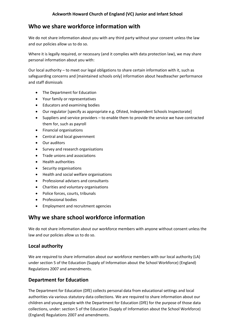## **Who we share workforce information with**

We do not share information about you with any third party without your consent unless the law and our policies allow us to do so.

Where it is legally required, or necessary (and it complies with data protection law), we may share personal information about you with:

Our local authority – to meet our legal obligations to share certain information with it, such as safeguarding concerns and [maintained schools only] information about headteacher performance and staff dismissals

- The Department for Education
- Your family or representatives
- Educators and examining bodies
- Our regulator [specify as appropriate e.g. Ofsted, Independent Schools Inspectorate]
- Suppliers and service providers to enable them to provide the service we have contracted them for, such as payroll
- Financial organisations
- Central and local government
- Our auditors
- Survey and research organisations
- Trade unions and associations
- Health authorities
- Security organisations
- Health and social welfare organisations
- Professional advisers and consultants
- Charities and voluntary organisations
- Police forces, courts, tribunals
- Professional bodies
- Employment and recruitment agencies

#### **Why we share school workforce information**

We do not share information about our workforce members with anyone without consent unless the law and our policies allow us to do so.

#### **Local authority**

We are required to share information about our workforce members with our local authority (LA) under section 5 of the Education (Supply of Information about the School Workforce) (England) Regulations 2007 and amendments.

#### **Department for Education**

The Department for Education (DfE) collects personal data from educational settings and local authorities via various statutory data collections. We are required to share information about our children and young people with the Department for Education (DfE) for the purpose of those data collections, under: section 5 of the Education (Supply of Information about the School Workforce) (England) Regulations 2007 and amendments.